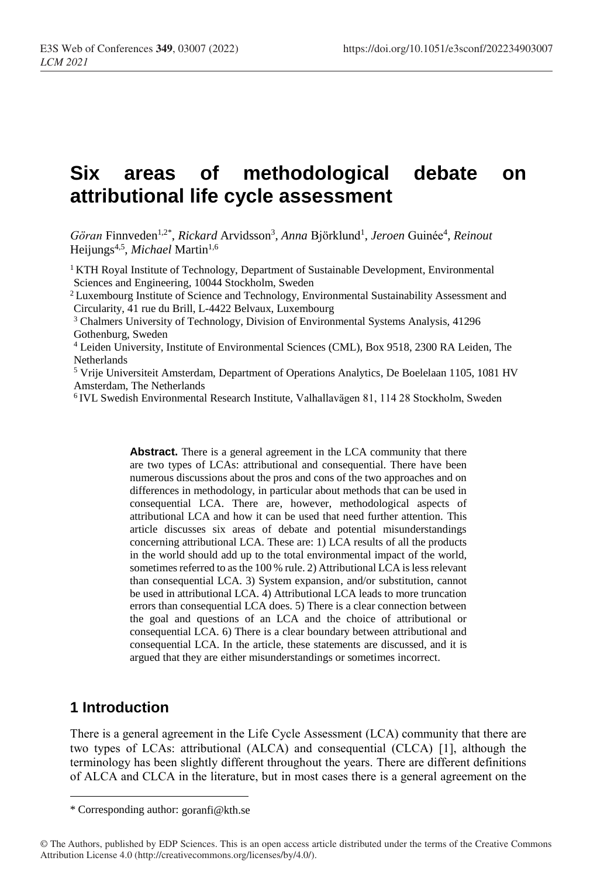# **Six areas of methodological debate on attributional life cycle assessment**

Göran Finnveden<sup>1,2\*</sup>, *Rickard* Arvidsson<sup>3</sup>, *Anna* Björklund<sup>1</sup>, *Jeroen* Guinée<sup>4</sup>, *Reinout* Heijungs<sup>4,5</sup>, *Michael* Martin<sup>1,6</sup>

<sup>1</sup> KTH Royal Institute of Technology, Department of Sustainable Development, Environmental Sciences and Engineering, 10044 Stockholm, Sweden

<sup>2</sup> Luxembourg Institute of Science and Technology, Environmental Sustainability Assessment and Circularity, 41 rue du Brill, L-4422 Belvaux, Luxembourg

<sup>3</sup> Chalmers University of Technology, Division of Environmental Systems Analysis, 41296 Gothenburg, Sweden

<sup>4</sup> Leiden University, Institute of Environmental Sciences (CML), Box 9518, 2300 RA Leiden, The Netherlands

<sup>5</sup> Vrije Universiteit Amsterdam, Department of Operations Analytics, De Boelelaan 1105, 1081 HV Amsterdam, The Netherlands

<sup>6</sup>IVL Swedish Environmental Research Institute, Valhallavägen 81, 114 28 Stockholm, Sweden

Abstract. There is a general agreement in the LCA community that there are two types of LCAs: attributional and consequential. There have been numerous discussions about the pros and cons of the two approaches and on differences in methodology, in particular about methods that can be used in consequential LCA. There are, however, methodological aspects of attributional LCA and how it can be used that need further attention. This article discusses six areas of debate and potential misunderstandings concerning attributional LCA. These are: 1) LCA results of all the products in the world should add up to the total environmental impact of the world, sometimes referred to as the 100 % rule. 2) Attributional LCA is less relevant than consequential LCA. 3) System expansion, and/or substitution, cannot be used in attributional LCA. 4) Attributional LCA leads to more truncation errors than consequential LCA does. 5) There is a clear connection between the goal and questions of an LCA and the choice of attributional or consequential LCA. 6) There is a clear boundary between attributional and consequential LCA. In the article, these statements are discussed, and it is argued that they are either misunderstandings or sometimes incorrect.

## **1 Introduction**

 $\overline{a}$ 

There is a general agreement in the Life Cycle Assessment (LCA) community that there are two types of LCAs: attributional (ALCA) and consequential (CLCA) [1], although the terminology has been slightly different throughout the years. There are different definitions of ALCA and CLCA in the literature, but in most cases there is a general agreement on the

<sup>\*</sup> Corresponding author: goranfi@kth.se

<sup>©</sup> The Authors, published by EDP Sciences. This is an open access article distributed under the terms of the Creative Commons Attribution License 4.0 (http://creativecommons.org/licenses/by/4.0/).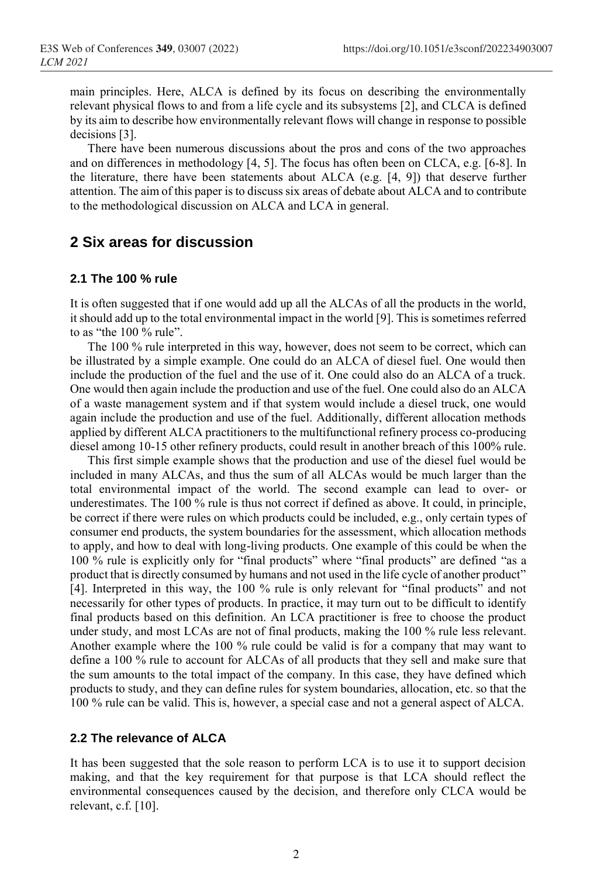main principles. Here, ALCA is defined by its focus on describing the environmentally relevant physical flows to and from a life cycle and its subsystems [2], and CLCA is defined by its aim to describe how environmentally relevant flows will change in response to possible decisions [3].

There have been numerous discussions about the pros and cons of the two approaches and on differences in methodology [4, 5]. The focus has often been on CLCA, e.g. [6-8]. In the literature, there have been statements about ALCA (e.g. [4, 9]) that deserve further attention. The aim of this paper is to discuss six areas of debate about ALCA and to contribute to the methodological discussion on ALCA and LCA in general.

# **2 Six areas for discussion**

#### **2.1 The 100 % rule**

It is often suggested that if one would add up all the ALCAs of all the products in the world, it should add up to the total environmental impact in the world [9]. This is sometimes referred to as "the 100 % rule".

The 100 % rule interpreted in this way, however, does not seem to be correct, which can be illustrated by a simple example. One could do an ALCA of diesel fuel. One would then include the production of the fuel and the use of it. One could also do an ALCA of a truck. One would then again include the production and use of the fuel. One could also do an ALCA of a waste management system and if that system would include a diesel truck, one would again include the production and use of the fuel. Additionally, different allocation methods applied by different ALCA practitioners to the multifunctional refinery process co-producing diesel among 10-15 other refinery products, could result in another breach of this 100% rule.

This first simple example shows that the production and use of the diesel fuel would be included in many ALCAs, and thus the sum of all ALCAs would be much larger than the total environmental impact of the world. The second example can lead to over- or underestimates. The 100 % rule is thus not correct if defined as above. It could, in principle, be correct if there were rules on which products could be included, e.g., only certain types of consumer end products, the system boundaries for the assessment, which allocation methods to apply, and how to deal with long-living products. One example of this could be when the 100 % rule is explicitly only for "final products" where "final products" are defined "as a product that is directly consumed by humans and not used in the life cycle of another product" [4]. Interpreted in this way, the 100 % rule is only relevant for "final products" and not necessarily for other types of products. In practice, it may turn out to be difficult to identify final products based on this definition. An LCA practitioner is free to choose the product under study, and most LCAs are not of final products, making the 100 % rule less relevant. Another example where the 100 % rule could be valid is for a company that may want to define a 100 % rule to account for ALCAs of all products that they sell and make sure that the sum amounts to the total impact of the company. In this case, they have defined which products to study, and they can define rules for system boundaries, allocation, etc. so that the 100 % rule can be valid. This is, however, a special case and not a general aspect of ALCA.

#### **2.2 The relevance of ALCA**

It has been suggested that the sole reason to perform LCA is to use it to support decision making, and that the key requirement for that purpose is that LCA should reflect the environmental consequences caused by the decision, and therefore only CLCA would be relevant, c.f. [10].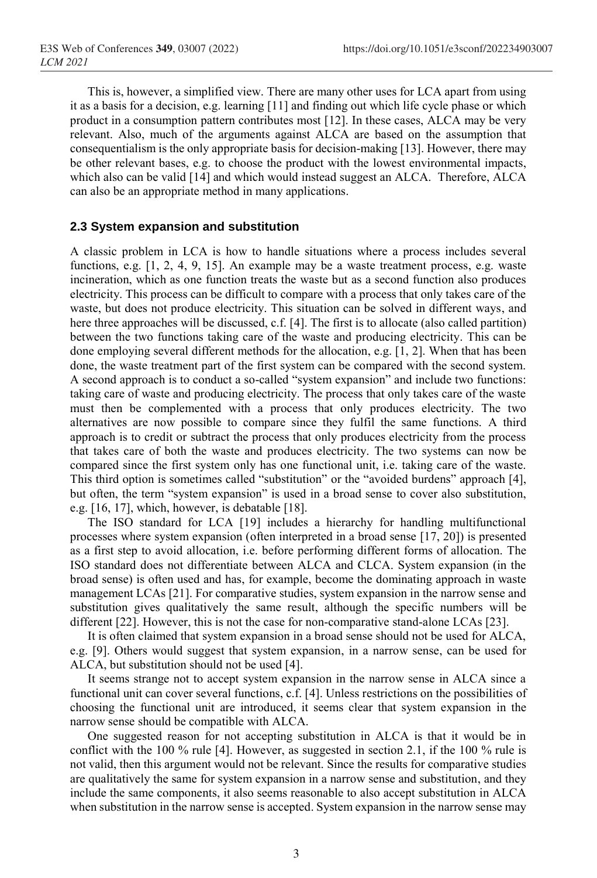This is, however, a simplified view. There are many other uses for LCA apart from using it as a basis for a decision, e.g. learning [11] and finding out which life cycle phase or which product in a consumption pattern contributes most [12]. In these cases, ALCA may be very relevant. Also, much of the arguments against ALCA are based on the assumption that consequentialism is the only appropriate basis for decision-making [13]. However, there may be other relevant bases, e.g. to choose the product with the lowest environmental impacts, which also can be valid [14] and which would instead suggest an ALCA. Therefore, ALCA can also be an appropriate method in many applications.

#### **2.3 System expansion and substitution**

A classic problem in LCA is how to handle situations where a process includes several functions, e.g. [1, 2, 4, 9, 15]. An example may be a waste treatment process, e.g. waste incineration, which as one function treats the waste but as a second function also produces electricity. This process can be difficult to compare with a process that only takes care of the waste, but does not produce electricity. This situation can be solved in different ways, and here three approaches will be discussed, c.f. [4]. The first is to allocate (also called partition) between the two functions taking care of the waste and producing electricity. This can be done employing several different methods for the allocation, e.g. [1, 2]. When that has been done, the waste treatment part of the first system can be compared with the second system. A second approach is to conduct a so-called "system expansion" and include two functions: taking care of waste and producing electricity. The process that only takes care of the waste must then be complemented with a process that only produces electricity. The two alternatives are now possible to compare since they fulfil the same functions. A third approach is to credit or subtract the process that only produces electricity from the process that takes care of both the waste and produces electricity. The two systems can now be compared since the first system only has one functional unit, i.e. taking care of the waste. This third option is sometimes called "substitution" or the "avoided burdens" approach [4], but often, the term "system expansion" is used in a broad sense to cover also substitution, e.g. [16, 17], which, however, is debatable [18].

The ISO standard for LCA [19] includes a hierarchy for handling multifunctional processes where system expansion (often interpreted in a broad sense [17, 20]) is presented as a first step to avoid allocation, i.e. before performing different forms of allocation. The ISO standard does not differentiate between ALCA and CLCA. System expansion (in the broad sense) is often used and has, for example, become the dominating approach in waste management LCAs [21]. For comparative studies, system expansion in the narrow sense and substitution gives qualitatively the same result, although the specific numbers will be different [22]. However, this is not the case for non-comparative stand-alone LCAs [23].

It is often claimed that system expansion in a broad sense should not be used for ALCA, e.g. [9]. Others would suggest that system expansion, in a narrow sense, can be used for ALCA, but substitution should not be used [4].

It seems strange not to accept system expansion in the narrow sense in ALCA since a functional unit can cover several functions, c.f. [4]. Unless restrictions on the possibilities of choosing the functional unit are introduced, it seems clear that system expansion in the narrow sense should be compatible with ALCA.

One suggested reason for not accepting substitution in ALCA is that it would be in conflict with the 100 % rule [4]. However, as suggested in section 2.1, if the 100 % rule is not valid, then this argument would not be relevant. Since the results for comparative studies are qualitatively the same for system expansion in a narrow sense and substitution, and they include the same components, it also seems reasonable to also accept substitution in ALCA when substitution in the narrow sense is accepted. System expansion in the narrow sense may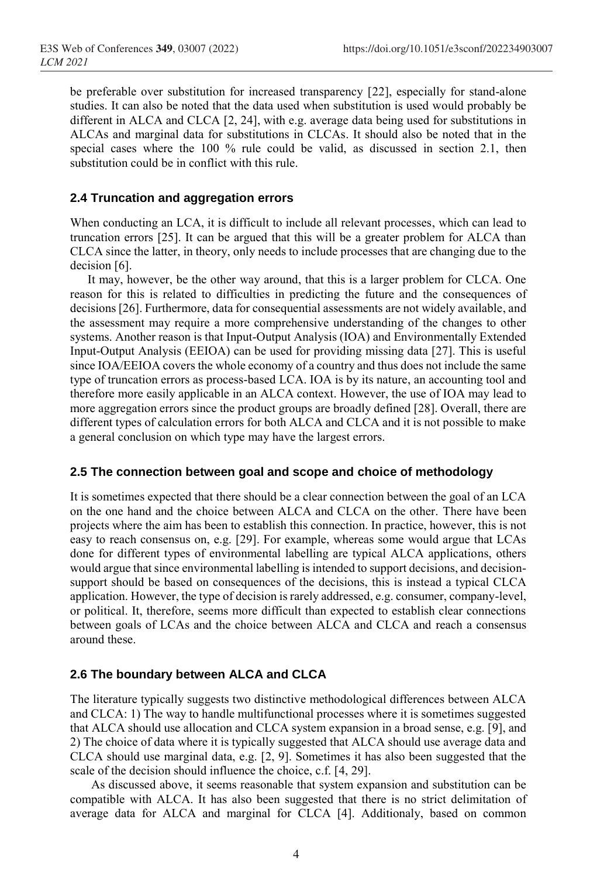be preferable over substitution for increased transparency [22], especially for stand-alone studies. It can also be noted that the data used when substitution is used would probably be different in ALCA and CLCA [2, 24], with e.g. average data being used for substitutions in ALCAs and marginal data for substitutions in CLCAs. It should also be noted that in the special cases where the 100 % rule could be valid, as discussed in section 2.1, then substitution could be in conflict with this rule.

#### **2.4 Truncation and aggregation errors**

When conducting an LCA, it is difficult to include all relevant processes, which can lead to truncation errors [25]. It can be argued that this will be a greater problem for ALCA than CLCA since the latter, in theory, only needs to include processes that are changing due to the decision [6].

It may, however, be the other way around, that this is a larger problem for CLCA. One reason for this is related to difficulties in predicting the future and the consequences of decisions [26]. Furthermore, data for consequential assessments are not widely available, and the assessment may require a more comprehensive understanding of the changes to other systems. Another reason is that Input-Output Analysis (IOA) and Environmentally Extended Input-Output Analysis (EEIOA) can be used for providing missing data [27]. This is useful since IOA/EEIOA covers the whole economy of a country and thus does not include the same type of truncation errors as process-based LCA. IOA is by its nature, an accounting tool and therefore more easily applicable in an ALCA context. However, the use of IOA may lead to more aggregation errors since the product groups are broadly defined [28]. Overall, there are different types of calculation errors for both ALCA and CLCA and it is not possible to make a general conclusion on which type may have the largest errors.

#### **2.5 The connection between goal and scope and choice of methodology**

It is sometimes expected that there should be a clear connection between the goal of an LCA on the one hand and the choice between ALCA and CLCA on the other. There have been projects where the aim has been to establish this connection. In practice, however, this is not easy to reach consensus on, e.g. [29]. For example, whereas some would argue that LCAs done for different types of environmental labelling are typical ALCA applications, others would argue that since environmental labelling is intended to support decisions, and decisionsupport should be based on consequences of the decisions, this is instead a typical CLCA application. However, the type of decision is rarely addressed, e.g. consumer, company-level, or political. It, therefore, seems more difficult than expected to establish clear connections between goals of LCAs and the choice between ALCA and CLCA and reach a consensus around these.

#### **2.6 The boundary between ALCA and CLCA**

The literature typically suggests two distinctive methodological differences between ALCA and CLCA: 1) The way to handle multifunctional processes where it is sometimes suggested that ALCA should use allocation and CLCA system expansion in a broad sense, e.g. [9], and 2) The choice of data where it is typically suggested that ALCA should use average data and CLCA should use marginal data, e.g. [2, 9]. Sometimes it has also been suggested that the scale of the decision should influence the choice, c.f. [4, 29].

As discussed above, it seems reasonable that system expansion and substitution can be compatible with ALCA. It has also been suggested that there is no strict delimitation of average data for ALCA and marginal for CLCA [4]. Additionaly, based on common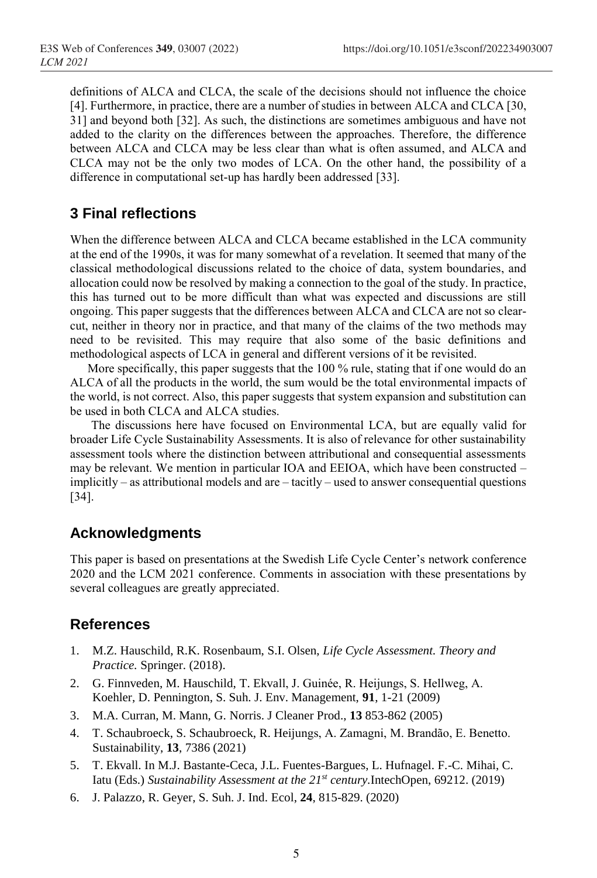definitions of ALCA and CLCA, the scale of the decisions should not influence the choice [4]. Furthermore, in practice, there are a number of studies in between ALCA and CLCA [30, 31] and beyond both [32]. As such, the distinctions are sometimes ambiguous and have not added to the clarity on the differences between the approaches. Therefore, the difference between ALCA and CLCA may be less clear than what is often assumed, and ALCA and CLCA may not be the only two modes of LCA. On the other hand, the possibility of a difference in computational set-up has hardly been addressed [33].

# **3 Final reflections**

When the difference between ALCA and CLCA became established in the LCA community at the end of the 1990s, it was for many somewhat of a revelation. It seemed that many of the classical methodological discussions related to the choice of data, system boundaries, and allocation could now be resolved by making a connection to the goal of the study. In practice, this has turned out to be more difficult than what was expected and discussions are still ongoing. This paper suggests that the differences between ALCA and CLCA are not so clearcut, neither in theory nor in practice, and that many of the claims of the two methods may need to be revisited. This may require that also some of the basic definitions and methodological aspects of LCA in general and different versions of it be revisited.

More specifically, this paper suggests that the 100 % rule, stating that if one would do an ALCA of all the products in the world, the sum would be the total environmental impacts of the world, is not correct. Also, this paper suggests that system expansion and substitution can be used in both CLCA and ALCA studies.

The discussions here have focused on Environmental LCA, but are equally valid for broader Life Cycle Sustainability Assessments. It is also of relevance for other sustainability assessment tools where the distinction between attributional and consequential assessments may be relevant. We mention in particular IOA and EEIOA, which have been constructed – implicitly – as attributional models and are – tacitly – used to answer consequential questions [34].

## **Acknowledgments**

This paper is based on presentations at the Swedish Life Cycle Center's network conference 2020 and the LCM 2021 conference. Comments in association with these presentations by several colleagues are greatly appreciated.

## **References**

- 1. M.Z. Hauschild, R.K. Rosenbaum, S.I. Olsen, *Life Cycle Assessment. Theory and Practice.* Springer. (2018).
- 2. G. Finnveden, M. Hauschild, T. Ekvall, J. Guinée, R. Heijungs, S. Hellweg, A. Koehler, D. Pennington, S. Suh. J. Env. Management, **91**, 1-21 (2009)
- 3. M.A. Curran, M. Mann, G. Norris. J Cleaner Prod., **13** 853-862 (2005)
- 4. T. Schaubroeck, S. Schaubroeck, R. Heijungs, A. Zamagni, M. Brandão, E. Benetto. Sustainability, **13**, 7386 (2021)
- 5. T. Ekvall. In M.J. Bastante-Ceca, J.L. Fuentes-Bargues, L. Hufnagel. F.-C. Mihai, C. Iatu (Eds.) *Sustainability Assessment at the 21st century.*IntechOpen, 69212. (2019)
- 6. J. Palazzo, R. Geyer, S. Suh. J. Ind. Ecol, **24**, 815-829. (2020)